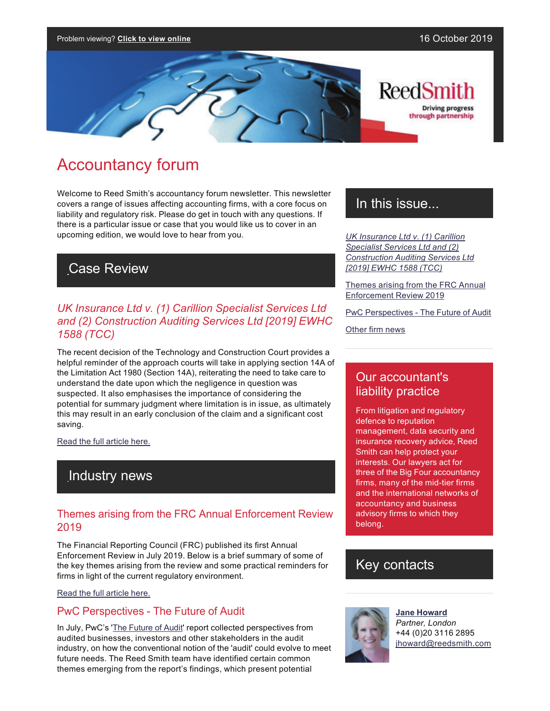

# Accountancy forum

Welcome to Reed Smith's accountancy forum newsletter. This newsletter covers a range of issues affecting accounting firms, with a core focus on liability and regulatory risk. Please do get in touch with any questions. If there is a particular issue or case that you would like us to cover in an upcoming edition, we would love to hear from you.

# Case Review

### *UK Insurance Ltd v. (1) Carillion Specialist Services Ltd and (2) Construction Auditing Services Ltd [2019] EWHC 1588 (TCC)*

The recent decision of the Technology and Construction Court provides a helpful reminder of the approach courts will take in applying section 14A of the Limitation Act 1980 (Section 14A), reiterating the need to take care to understand the date upon which the negligence in question was suspected. It also emphasises the importance of considering the potential for summary judgment where limitation is in issue, as ultimately this may result in an early conclusion of the claim and a significant cost saving.

[Read the full article here.](https://communications.reedsmith.com/67/2756/landing-pages/uk-insurance-ltd-v.-(1)-carillion-specialist-services-ltd-and-(2)-construction-auditing-services-ltd--2019--ewhc-1588-(tcc).asp)

## Industry news

### Themes arising from the FRC Annual Enforcement Review 2019

The Financial Reporting Council (FRC) published its first Annual Enforcement Review in July 2019. Below is a brief summary of some of the key themes arising from the review and some practical reminders for firms in light of the current regulatory environment.

#### [Read the full article here.](https://communications.reedsmith.com/67/2756/landing-pages/themes-arising-from-the-frc-annual-enforcement-review-2019.asp)

### PwC Perspectives - The Future of Audit

In July, PwC's '[The Future of Audit](https://www.pwc.co.uk/who-we-are/the-future-of-audit/opportunities-for-change.html)' report collected perspectives from audited businesses, investors and other stakeholders in the audit industry, on how the conventional notion of the 'audit' could evolve to meet future needs. The Reed Smith team have identified certain common themes emerging from the report's findings, which present potential

## In this issue...

*[UK Insurance Ltd v. \(1\) Carillion](https://communications.reedsmith.com/67/2756/landing-pages/uk-insurance-ltd-v.-(1)-carillion-specialist-services-ltd-and-(2)-construction-auditing-services-ltd--2019--ewhc-1588-(tcc).asp)  [Specialist Services Ltd and \(2\)](https://communications.reedsmith.com/67/2756/landing-pages/uk-insurance-ltd-v.-(1)-carillion-specialist-services-ltd-and-(2)-construction-auditing-services-ltd--2019--ewhc-1588-(tcc).asp) [Construction Auditing Services Ltd](https://communications.reedsmith.com/67/2756/landing-pages/uk-insurance-ltd-v.-(1)-carillion-specialist-services-ltd-and-(2)-construction-auditing-services-ltd--2019--ewhc-1588-(tcc).asp)  [\[2019\] EWHC 1588 \(TCC\)](https://communications.reedsmith.com/67/2756/landing-pages/uk-insurance-ltd-v.-(1)-carillion-specialist-services-ltd-and-(2)-construction-auditing-services-ltd--2019--ewhc-1588-(tcc).asp)*

[Themes arising from the FRC Annual](https://communications.reedsmith.com/67/2756/landing-pages/themes-arising-from-the-frc-annual-enforcement-review-2019.asp)  [Enforcement Review 2019](https://communications.reedsmith.com/67/2756/landing-pages/themes-arising-from-the-frc-annual-enforcement-review-2019.asp)

PwC Perspectives - The Future of Audit

[Other firm news](https://reedsmith.vuture.net/API/Print/Preview/Screen?url=https%3a%2f%2fcommunications.reedsmith.com%2f67%2f2756%2foctober-2019%2faccountancy-forum-oct-2019.asp%3fwidth%3d800#three)

### Our accountant's liability practice

From litigation and regulatory defence to reputation management, data security and insurance recovery advice, Reed Smith can help protect your interests. Our lawyers act for three of the Big Four accountancy firms, many of the mid-tier firms and the international networks of accountancy and business advisory firms to which they belong.

### Key contacts



**[Jane Howard](https://www.reedsmith.com/en/professionals/h/howard-jane)** *Partner, London* +44 (0)20 3116 2895 [jhoward@reedsmith.com](mailto:jhoward@reedsmith.com?subject=Accountancy forum)